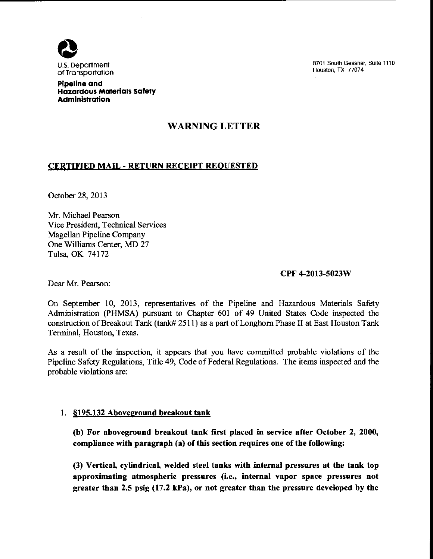

8701 South Gessner, Suite 1110 Houston, TX 77074

Pipeline and Hazardous Materials Safety Administration

# WARNING LETTER

## CERTIFIED MAIL- RETURN RECEIPT REQUESTED

October 28, 2013

Mr. Michael Pearson Vice President, Technical Services Magellan Pipeline Company One Williams Center, MD 27 Tulsa, OK 74172

#### CPF 4-2013-5023W

Dear Mr. Pearson:

On September 10, 2013, representatives of the Pipeline and Hazardous Materials Safety Administration (PHMSA) pursuant to Chapter 601 of 49 United States Code inspected the construction of Breakout Tank (tank# 2511) as a part of Longhorn Phase II at East Houston Tank Terminal, Houston, Texas.

As a result of the inspection, it appears that you have committed probable violations of the Pipeline Safety Regulations, Title 49, Code of Federal Regulations. The items inspected and the probable violations are:

## 1. §195.132 Aboveground breakout tank

(b) For aboveground breakout tank first placed in service after October 2, 2000, compliance with paragraph (a) of this section requires one of the following:

(3) Vertical, cylindrical, welded steel tanks with internal pressures at the tank top approximating atmospheric pressures (i.e., internal vapor space pressures not greater than 2.5 psig (17.2 kPa), or not greater than the pressure developed by the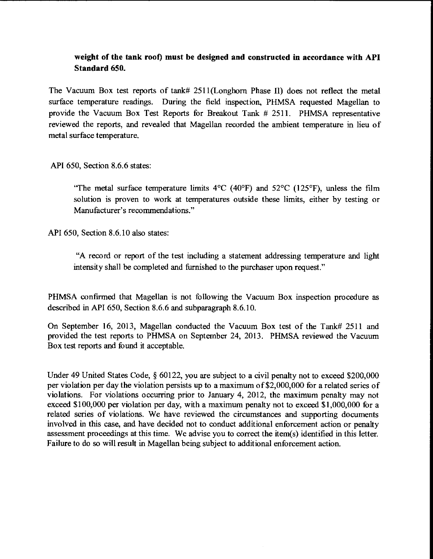# **weight of the tank root) must be designed and constructed in accordance with API Standard 650.**

The Vacuum Box test reports of tank# 25ll(Longhorn Phase II) does not reflect the metal surface temperature readings. During the field inspection, PHMSA requested Magellan to provide the Vacuum Box Test Reports for Breakout Tank # 2511. PHMSA representative reviewed the reports, and revealed that Magellan recorded the ambient temperature in lieu of metal surface temperature.

API 650, Section 8.6.6 states:

"The metal surface temperature limits  $4^{\circ}$ C (40°F) and 52°C (125°F), unless the film solution is proven to work at temperatures outside these limits, either by testing or Manufacturer's recommendations."

API 650, Section 8.6.10 also states:

"A record or report of the test including a statement addressing temperature and light intensity shall be completed and furnished to the purchaser upon request."

PHMSA confirmed that Magellan is not following the Vacuum Box inspection procedure as described in API 650, Section 8.6.6 and subparagraph 8.6.10.

On September 16, 2013, Magellan conducted the Vacuum Box test of the Tank# 2511 and provided the test reports to PHMSA on September 24, 2013. PHMSA reviewed the Vacuum Box test reports and found it acceptable.

Under 49 United States Code, § 60122, you are subject to a civil penalty not to exceed \$200,000 per violation per day the violation persists up to a maximum of\$2,000,000 for a related series of violations. For violations occurring prior to January 4, 2012, the maximum penalty may not exceed  $$100,000$  per violation per day, with a maximum penalty not to exceed  $$1,000,000$  for a related series of violations. We have reviewed the circumstances and supporting documents involved in this case, and have decided not to conduct additional enforcement action or penalty assessment proceedings at this time. We advise you to correct the item(s) identified in this letter. Failure to do so will result in Magellan being subject to additional enforcement action.